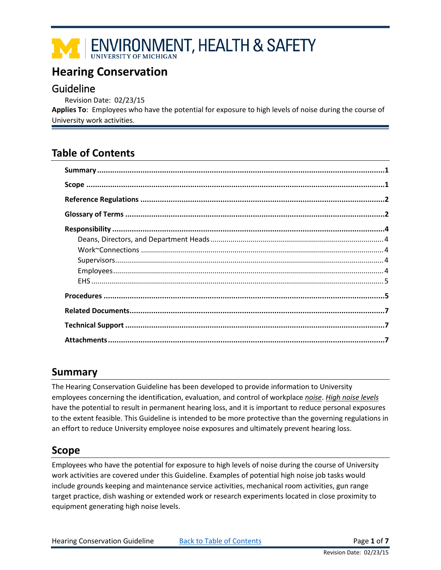# ENVIRONMENT, HEALTH & SAFETY

# <span id="page-0-0"></span>**Hearing Conservation**

# Guideline

Revision Date: 02/23/15

**Applies To**: Employees who have the potential for exposure to high levels of noise during the course of University work activities.

# **Table of Contents**

# <span id="page-0-1"></span>**Summary**

The Hearing Conservation Guideline has been developed to provide information to University employees concerning the identification, evaluation, and control of workplace *[noise](#page-2-0)*. *[High noise levels](#page-2-1)* have the potential to result in permanent hearing loss, and it is important to reduce personal exposures to the extent feasible. This Guideline is intended to be more protective than the governing regulations in an effort to reduce University employee noise exposures and ultimately prevent hearing loss.

# <span id="page-0-2"></span>**Scope**

Employees who have the potential for exposure to high levels of noise during the course of University work activities are covered under this Guideline. Examples of potential high noise job tasks would include grounds keeping and maintenance service activities, mechanical room activities, gun range target practice, dish washing or extended work or research experiments located in close proximity to equipment generating high noise levels.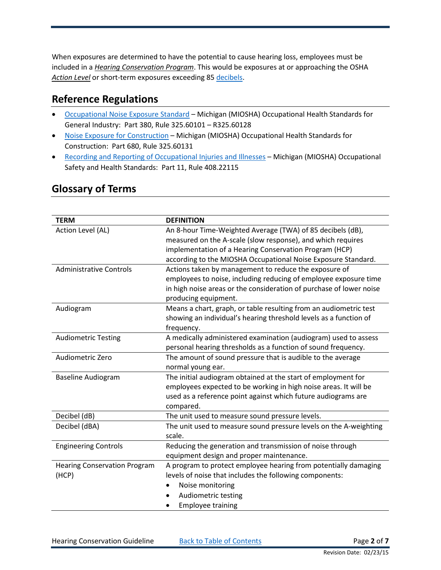When exposures are determined to have the potential to cause hearing loss, employees must be included in a *[Hearing Conservation Program](#page-1-2)*. This would be exposures at or approaching the OSHA *[Action Level](#page-1-3)* or short-term exposures exceeding 85 [decibels.](#page-1-4)

# <span id="page-1-0"></span>**Reference Regulations**

- [Occupational Noise Exposure Standard](http://www.michigan.gov/documents/CIS_WSH_part380_37809_7.pdf) Michigan (MIOSHA) Occupational Health Standards for General Industry: Part 380, Rule 325.60101 – R325.60128
- [Noise Exposure for Construction](http://www.michigan.gov/documents/CIS_WSH_part680_35660_7.pdf) Michigan (MIOSHA) Occupational Health Standards for Construction: Part 680, Rule 325.60131
- [Recording and Reporting of Occupational Injuries and Illnesses](http://www.michigan.gov/documents/CIS_WSH_part11ad_37844_7.pdf) Michigan (MIOSHA) Occupational Safety and Health Standards: Part 11, Rule 408.22115

<span id="page-1-9"></span><span id="page-1-8"></span><span id="page-1-7"></span><span id="page-1-6"></span><span id="page-1-5"></span><span id="page-1-4"></span><span id="page-1-3"></span><span id="page-1-2"></span>

| <b>TERM</b>                         | <b>DEFINITION</b>                                                   |  |  |  |
|-------------------------------------|---------------------------------------------------------------------|--|--|--|
| Action Level (AL)                   | An 8-hour Time-Weighted Average (TWA) of 85 decibels (dB),          |  |  |  |
|                                     | measured on the A-scale (slow response), and which requires         |  |  |  |
|                                     | implementation of a Hearing Conservation Program (HCP)              |  |  |  |
|                                     | according to the MIOSHA Occupational Noise Exposure Standard.       |  |  |  |
| <b>Administrative Controls</b>      | Actions taken by management to reduce the exposure of               |  |  |  |
|                                     | employees to noise, including reducing of employee exposure time    |  |  |  |
|                                     | in high noise areas or the consideration of purchase of lower noise |  |  |  |
|                                     | producing equipment.                                                |  |  |  |
| Audiogram                           | Means a chart, graph, or table resulting from an audiometric test   |  |  |  |
|                                     | showing an individual's hearing threshold levels as a function of   |  |  |  |
|                                     | frequency.                                                          |  |  |  |
| <b>Audiometric Testing</b>          | A medically administered examination (audiogram) used to assess     |  |  |  |
|                                     | personal hearing thresholds as a function of sound frequency.       |  |  |  |
| Audiometric Zero                    | The amount of sound pressure that is audible to the average         |  |  |  |
|                                     | normal young ear.                                                   |  |  |  |
| <b>Baseline Audiogram</b>           | The initial audiogram obtained at the start of employment for       |  |  |  |
|                                     | employees expected to be working in high noise areas. It will be    |  |  |  |
|                                     | used as a reference point against which future audiograms are       |  |  |  |
|                                     | compared.                                                           |  |  |  |
| Decibel (dB)                        | The unit used to measure sound pressure levels.                     |  |  |  |
| Decibel (dBA)                       | The unit used to measure sound pressure levels on the A-weighting   |  |  |  |
|                                     | scale.                                                              |  |  |  |
| <b>Engineering Controls</b>         | Reducing the generation and transmission of noise through           |  |  |  |
|                                     | equipment design and proper maintenance.                            |  |  |  |
| <b>Hearing Conservation Program</b> | A program to protect employee hearing from potentially damaging     |  |  |  |
| (HCP)                               | levels of noise that includes the following components:             |  |  |  |
|                                     | Noise monitoring                                                    |  |  |  |
|                                     | Audiometric testing                                                 |  |  |  |
|                                     | <b>Employee training</b>                                            |  |  |  |

# <span id="page-1-1"></span>**Glossary of Terms**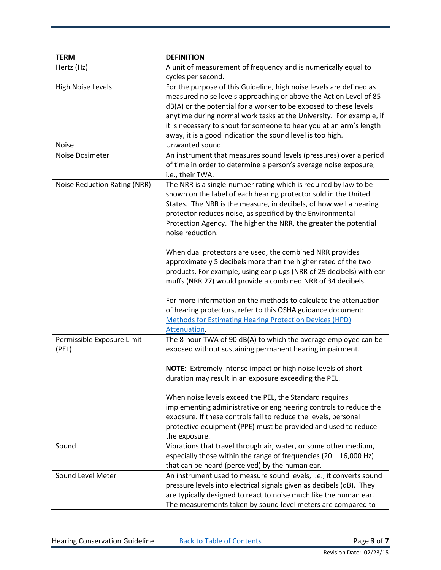<span id="page-2-6"></span><span id="page-2-5"></span><span id="page-2-4"></span><span id="page-2-3"></span><span id="page-2-2"></span><span id="page-2-1"></span><span id="page-2-0"></span>

| <b>TERM</b>                  | <b>DEFINITION</b>                                                           |  |  |  |
|------------------------------|-----------------------------------------------------------------------------|--|--|--|
| Hertz (Hz)                   | A unit of measurement of frequency and is numerically equal to              |  |  |  |
|                              | cycles per second.                                                          |  |  |  |
| <b>High Noise Levels</b>     | For the purpose of this Guideline, high noise levels are defined as         |  |  |  |
|                              | measured noise levels approaching or above the Action Level of 85           |  |  |  |
|                              | dB(A) or the potential for a worker to be exposed to these levels           |  |  |  |
|                              | anytime during normal work tasks at the University. For example, if         |  |  |  |
|                              | it is necessary to shout for someone to hear you at an arm's length         |  |  |  |
|                              | away, it is a good indication the sound level is too high.                  |  |  |  |
| <b>Noise</b>                 | Unwanted sound.                                                             |  |  |  |
| Noise Dosimeter              | An instrument that measures sound levels (pressures) over a period          |  |  |  |
|                              | of time in order to determine a person's average noise exposure,            |  |  |  |
|                              | i.e., their TWA.                                                            |  |  |  |
| Noise Reduction Rating (NRR) | The NRR is a single-number rating which is required by law to be            |  |  |  |
|                              | shown on the label of each hearing protector sold in the United             |  |  |  |
|                              | States. The NRR is the measure, in decibels, of how well a hearing          |  |  |  |
|                              | protector reduces noise, as specified by the Environmental                  |  |  |  |
|                              | Protection Agency. The higher the NRR, the greater the potential            |  |  |  |
|                              | noise reduction.                                                            |  |  |  |
|                              |                                                                             |  |  |  |
|                              | When dual protectors are used, the combined NRR provides                    |  |  |  |
|                              | approximately 5 decibels more than the higher rated of the two              |  |  |  |
|                              | products. For example, using ear plugs (NRR of 29 decibels) with ear        |  |  |  |
|                              | muffs (NRR 27) would provide a combined NRR of 34 decibels.                 |  |  |  |
|                              |                                                                             |  |  |  |
|                              | For more information on the methods to calculate the attenuation            |  |  |  |
|                              | of hearing protectors, refer to this OSHA guidance document:                |  |  |  |
|                              | <b>Methods for Estimating Hearing Protection Devices (HPD)</b>              |  |  |  |
|                              | Attenuation.                                                                |  |  |  |
| Permissible Exposure Limit   | The 8-hour TWA of 90 dB(A) to which the average employee can be             |  |  |  |
| (PEL)                        | exposed without sustaining permanent hearing impairment.                    |  |  |  |
|                              |                                                                             |  |  |  |
|                              | NOTE: Extremely intense impact or high noise levels of short                |  |  |  |
|                              | duration may result in an exposure exceeding the PEL.                       |  |  |  |
|                              |                                                                             |  |  |  |
|                              | When noise levels exceed the PEL, the Standard requires                     |  |  |  |
|                              | implementing administrative or engineering controls to reduce the           |  |  |  |
|                              | exposure. If these controls fail to reduce the levels, personal             |  |  |  |
|                              | protective equipment (PPE) must be provided and used to reduce              |  |  |  |
|                              | the exposure.                                                               |  |  |  |
| Sound                        | Vibrations that travel through air, water, or some other medium,            |  |  |  |
|                              | especially those within the range of frequencies $(20 - 16,000 \text{ Hz})$ |  |  |  |
|                              | that can be heard (perceived) by the human ear.                             |  |  |  |
| Sound Level Meter            | An instrument used to measure sound levels, i.e., it converts sound         |  |  |  |
|                              | pressure levels into electrical signals given as decibels (dB). They        |  |  |  |
|                              | are typically designed to react to noise much like the human ear.           |  |  |  |
|                              | The measurements taken by sound level meters are compared to                |  |  |  |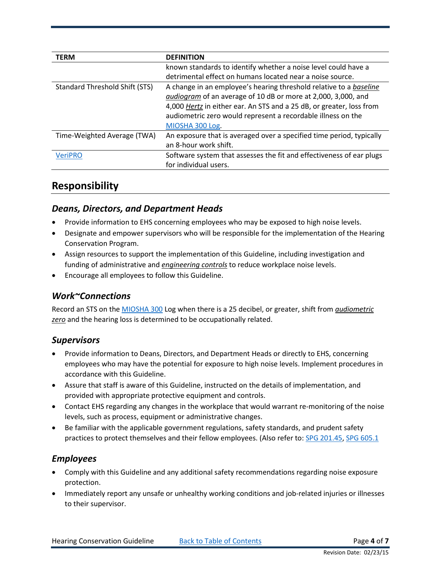<span id="page-3-6"></span>

| <b>TERM</b>                    | <b>DEFINITION</b>                                                    |  |  |  |
|--------------------------------|----------------------------------------------------------------------|--|--|--|
|                                | known standards to identify whether a noise level could have a       |  |  |  |
|                                | detrimental effect on humans located near a noise source.            |  |  |  |
| Standard Threshold Shift (STS) | A change in an employee's hearing threshold relative to a baseline   |  |  |  |
|                                | audiogram of an average of 10 dB or more at 2,000, 3,000, and        |  |  |  |
|                                | 4,000 Hertz in either ear. An STS and a 25 dB, or greater, loss from |  |  |  |
|                                | audiometric zero would represent a recordable illness on the         |  |  |  |
|                                | MIOSHA 300 Log.                                                      |  |  |  |
| Time-Weighted Average (TWA)    | An exposure that is averaged over a specified time period, typically |  |  |  |
|                                | an 8-hour work shift.                                                |  |  |  |
| <b>VeriPRO</b>                 | Software system that assesses the fit and effectiveness of ear plugs |  |  |  |
|                                | for individual users.                                                |  |  |  |

#### <span id="page-3-7"></span><span id="page-3-5"></span><span id="page-3-0"></span>**Responsibility**

#### <span id="page-3-1"></span>*Deans, Directors, and Department Heads*

- Provide information to EHS concerning employees who may be exposed to high noise levels.
- Designate and empower supervisors who will be responsible for the implementation of the Hearing Conservation Program.
- Assign resources to support the implementation of this Guideline, including investigation and funding of administrative and *[engineering controls](#page-1-6)* to reduce workplace noise levels.
- Encourage all employees to follow this Guideline.

#### <span id="page-3-2"></span>*Work~Connections*

Record an STS on the [MIOSHA 300](http://www.michigan.gov/documents/CIS_WSH_form300_33842_7.pdf) Log when there is a 25 decibel, or greater, shift from *[audiometric](#page-1-7)*  [zero](#page-1-7) and the hearing loss is determined to be occupationally related.

#### <span id="page-3-3"></span>*Supervisors*

- Provide information to Deans, Directors, and Department Heads or directly to EHS, concerning employees who may have the potential for exposure to high noise levels. Implement procedures in accordance with this Guideline.
- Assure that staff is aware of this Guideline, instructed on the details of implementation, and provided with appropriate protective equipment and controls.
- Contact EHS regarding any changes in the workplace that would warrant re-monitoring of the noise levels, such as process, equipment or administrative changes.
- Be familiar with the applicable government regulations, safety standards, and prudent safety practices to protect themselves and their fellow employees. (Also refer to[: SPG 201.45,](http://spg.umich.edu/policy/201.45) [SPG 605.1](http://spg.umich.edu/policy/605.01)

#### <span id="page-3-4"></span>*Employees*

- Comply with this Guideline and any additional safety recommendations regarding noise exposure protection.
- Immediately report any unsafe or unhealthy working conditions and job-related injuries or illnesses to their supervisor.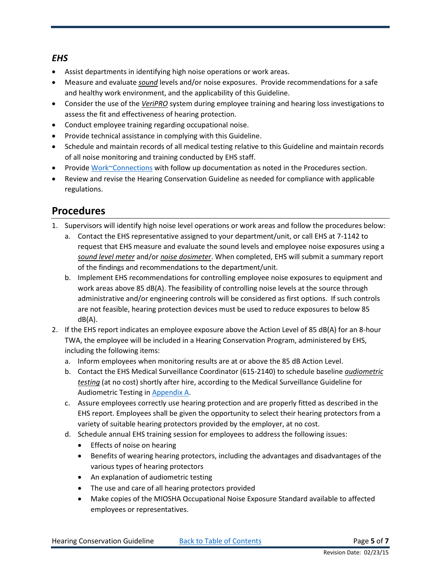#### <span id="page-4-0"></span>*EHS*

- Assist departments in identifying high noise operations or work areas.
- Measure and evaluate *[sound](#page-2-3)* levels and/or noise exposures. Provide recommendations for a safe and healthy work environment, and the applicability of this Guideline.
- Consider the use of the *[VeriPRO](#page-3-5)* system during employee training and hearing loss investigations to assess the fit and effectiveness of hearing protection.
- Conduct employee training regarding occupational noise.
- Provide technical assistance in complying with this Guideline.
- Schedule and maintain records of all medical testing relative to this Guideline and maintain records of all noise monitoring and training conducted by EHS staff.
- Provid[e Work~Connections](http://www.workconnections.umich.edu/employees/work-related-illness-injury/step-one/) with follow up documentation as noted in the Procedures section.
- Review and revise the Hearing Conservation Guideline as needed for compliance with applicable regulations.

# <span id="page-4-1"></span>**Procedures**

- 1. Supervisors will identify high noise level operations or work areas and follow the procedures below:
	- a. Contact the EHS representative assigned to your department/unit, or call EHS at 7-1142 to request that EHS measure and evaluate the sound levels and employee noise exposures using a *[sound level meter](#page-2-4)* and/or *[noise dosimeter](#page-2-5)*. When completed, EHS will submit a summary report of the findings and recommendations to the department/unit.
	- b. Implement EHS recommendations for controlling employee noise exposures to equipment and work areas above 85 dB(A). The feasibility of controlling noise levels at the source through administrative and/or engineering controls will be considered as first options. If such controls are not feasible, hearing protection devices must be used to reduce exposures to below 85 dB(A).
- 2. If the EHS report indicates an employee exposure above the Action Level of 85 dB(A) for an 8-hour TWA, the employee will be included in a Hearing Conservation Program, administered by EHS, including the following items:
	- a. Inform employees when monitoring results are at or above the 85 dB Action Level.
	- b. Contact the EHS Medical Surveillance Coordinator (615-2140) to schedule baseline *[audiometric](#page-1-8)  [testing](#page-1-8)* (at no cost) shortly after hire, according to the Medical Surveillance Guideline for Audiometric Testing in [Appendix A.](https://ehs.umich.edu/wp-content/uploads/2017/01/hearingappa.pdf)
	- c. Assure employees correctly use hearing protection and are properly fitted as described in the EHS report. Employees shall be given the opportunity to select their hearing protectors from a variety of suitable hearing protectors provided by the employer, at no cost.
	- d. Schedule annual EHS training session for employees to address the following issues:
		- Effects of noise on hearing
		- Benefits of wearing hearing protectors, including the advantages and disadvantages of the various types of hearing protectors
		- An explanation of audiometric testing
		- The use and care of all hearing protectors provided
		- Make copies of the MIOSHA Occupational Noise Exposure Standard available to affected employees or representatives.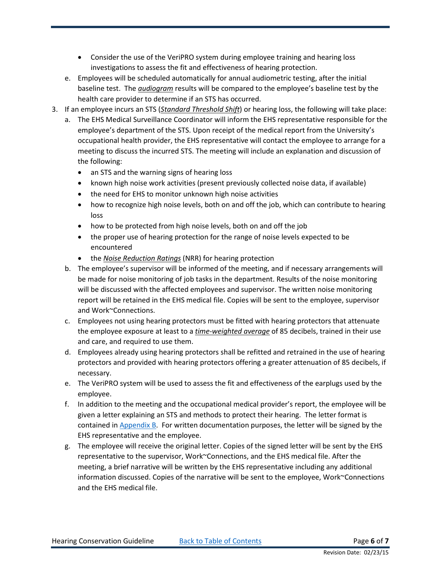- Consider the use of the VeriPRO system during employee training and hearing loss investigations to assess the fit and effectiveness of hearing protection.
- e. Employees will be scheduled automatically for annual audiometric testing, after the initial baseline test. The *[audiogram](#page-1-9)* results will be compared to the employee's baseline test by the health care provider to determine if an STS has occurred.
- 3. If an employee incurs an STS (*[Standard Threshold Shift](#page-3-6)*) or hearing loss, the following will take place:
	- a. The EHS Medical Surveillance Coordinator will inform the EHS representative responsible for the employee's department of the STS. Upon receipt of the medical report from the University's occupational health provider, the EHS representative will contact the employee to arrange for a meeting to discuss the incurred STS. The meeting will include an explanation and discussion of the following:
		- an STS and the warning signs of hearing loss
		- known high noise work activities (present previously collected noise data, if available)
		- the need for EHS to monitor unknown high noise activities
		- how to recognize high noise levels, both on and off the job, which can contribute to hearing loss
		- how to be protected from high noise levels, both on and off the job
		- the proper use of hearing protection for the range of noise levels expected to be encountered
		- the *[Noise Reduction Ratings](#page-2-6)* (NRR) for hearing protection
	- b. The employee's supervisor will be informed of the meeting, and if necessary arrangements will be made for noise monitoring of job tasks in the department. Results of the noise monitoring will be discussed with the affected employees and supervisor. The written noise monitoring report will be retained in the EHS medical file. Copies will be sent to the employee, supervisor and Work~Connections.
	- c. Employees not using hearing protectors must be fitted with hearing protectors that attenuate the employee exposure at least to a *[time-weighted average](#page-3-7)* of 85 decibels, trained in their use and care, and required to use them.
	- d. Employees already using hearing protectors shall be refitted and retrained in the use of hearing protectors and provided with hearing protectors offering a greater attenuation of 85 decibels, if necessary.
	- e. The VeriPRO system will be used to assess the fit and effectiveness of the earplugs used by the employee.
	- f. In addition to the meeting and the occupational medical provider's report, the employee will be given a letter explaining an STS and methods to protect their hearing. The letter format is contained in [Appendix B.](https://ehs.umich.edu/wp-content/uploads/2017/01/hearingappb.pdf) For written documentation purposes, the letter will be signed by the EHS representative and the employee.
	- g. The employee will receive the original letter. Copies of the signed letter will be sent by the EHS representative to the supervisor, Work~Connections, and the EHS medical file. After the meeting, a brief narrative will be written by the EHS representative including any additional information discussed. Copies of the narrative will be sent to the employee, Work~Connections and the EHS medical file.